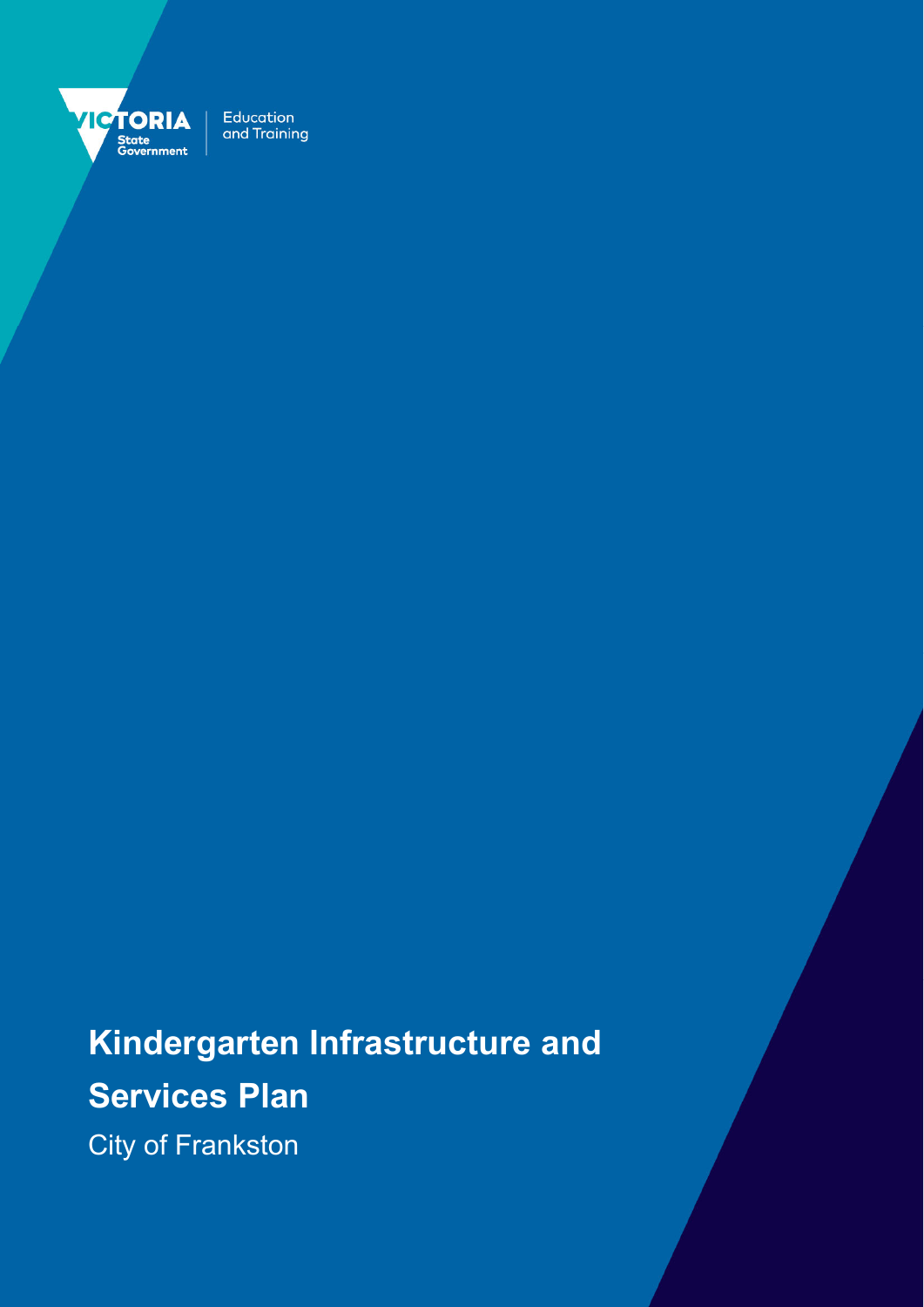

Education and Training

**Kindergarten Infrastructure and Services Plan** 

City of Frankston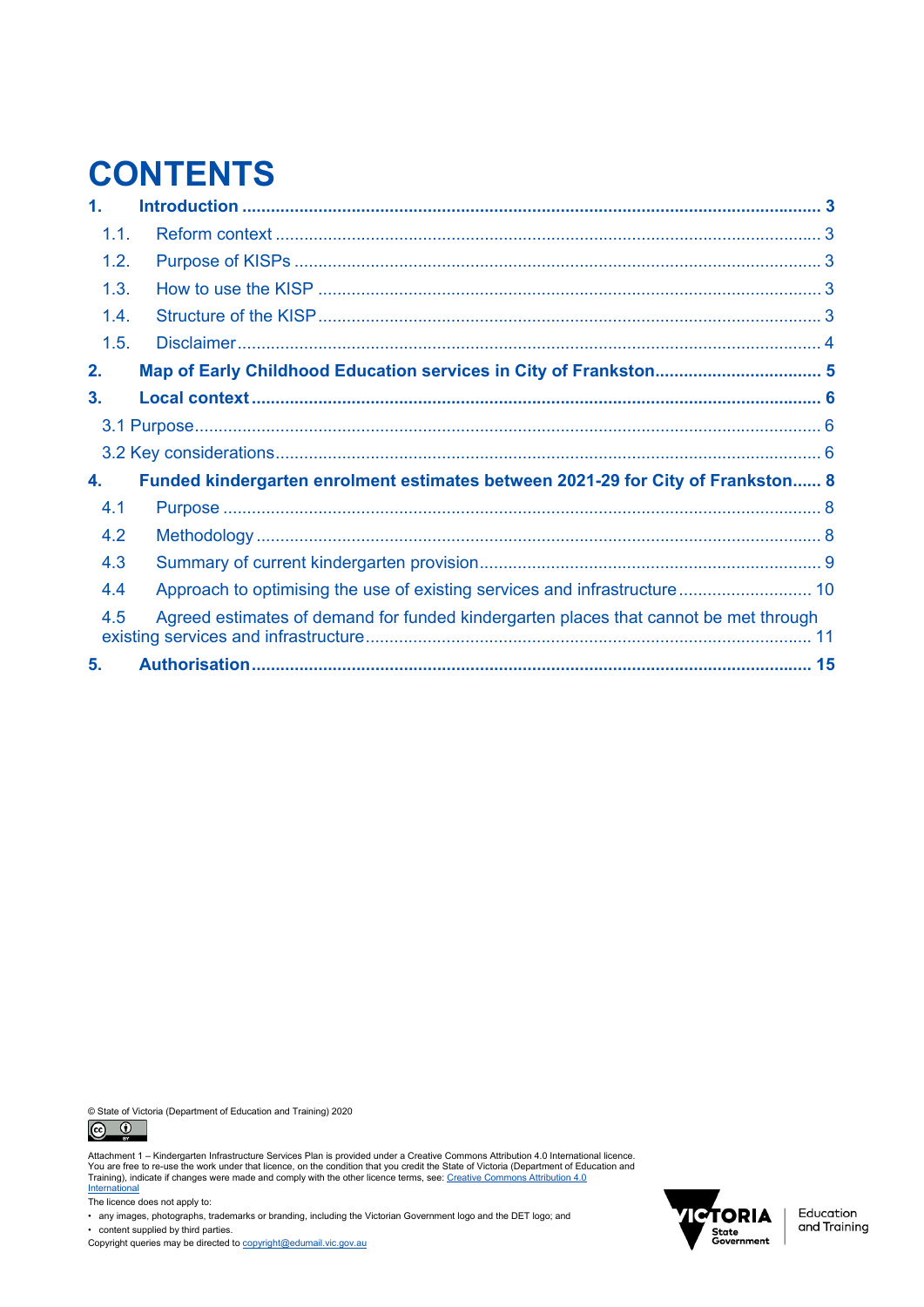# **CONTENTS**

| 1.   |                                                                                      |  |
|------|--------------------------------------------------------------------------------------|--|
| 1.1. |                                                                                      |  |
| 1.2. |                                                                                      |  |
| 1.3. |                                                                                      |  |
| 1.4. |                                                                                      |  |
| 1.5. |                                                                                      |  |
| 2.   |                                                                                      |  |
| 3.   |                                                                                      |  |
|      |                                                                                      |  |
|      |                                                                                      |  |
| 4.   | Funded kindergarten enrolment estimates between 2021-29 for City of Frankston 8      |  |
| 4.1  |                                                                                      |  |
| 4.2  |                                                                                      |  |
| 4.3  |                                                                                      |  |
| 4.4  | Approach to optimising the use of existing services and infrastructure 10            |  |
| 4.5  | Agreed estimates of demand for funded kindergarten places that cannot be met through |  |
| 5.   |                                                                                      |  |

© State of Victoria (Department of Education and Training) 2020<br>  $\bigodot$   $\bigodot$ 



Attachment 1 – Kindergarten Infrastructure Services Plan is provided under a Creative Commons Attribution 4.0 International licence.<br>You are free to re-use the work under that licence, on the condition that you credit the

The licence does not apply to:

• any images, photographs, trademarks or branding, including the Victorian Government logo and the DET logo; and • content supplied by third parties.

Copyright queries may be directed to copyright@edumail.vic.gov.au



Education<br>and Training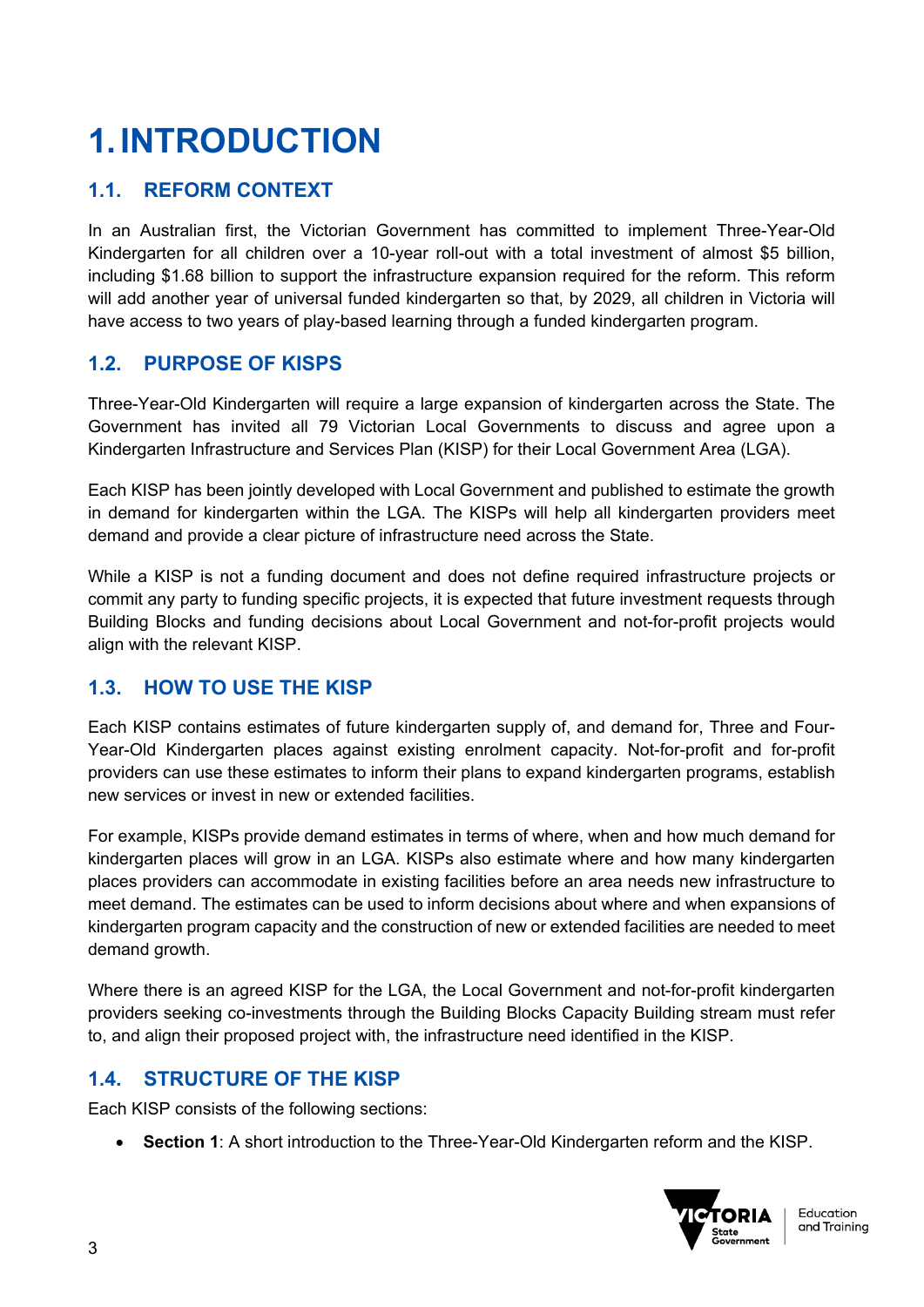# **1. INTRODUCTION**

## **1.1. REFORM CONTEXT**

In an Australian first, the Victorian Government has committed to implement Three-Year-Old Kindergarten for all children over a 10-year roll-out with a total investment of almost \$5 billion, including \$1.68 billion to support the infrastructure expansion required for the reform. This reform will add another year of universal funded kindergarten so that, by 2029, all children in Victoria will have access to two years of play-based learning through a funded kindergarten program.

## **1.2. PURPOSE OF KISPS**

Three-Year-Old Kindergarten will require a large expansion of kindergarten across the State. The Government has invited all 79 Victorian Local Governments to discuss and agree upon a Kindergarten Infrastructure and Services Plan (KISP) for their Local Government Area (LGA).

Each KISP has been jointly developed with Local Government and published to estimate the growth in demand for kindergarten within the LGA. The KISPs will help all kindergarten providers meet demand and provide a clear picture of infrastructure need across the State.

While a KISP is not a funding document and does not define required infrastructure projects or commit any party to funding specific projects, it is expected that future investment requests through Building Blocks and funding decisions about Local Government and not-for-profit projects would align with the relevant KISP.

## **1.3. HOW TO USE THE KISP**

Each KISP contains estimates of future kindergarten supply of, and demand for, Three and Four-Year-Old Kindergarten places against existing enrolment capacity. Not-for-profit and for-profit providers can use these estimates to inform their plans to expand kindergarten programs, establish new services or invest in new or extended facilities.

For example, KISPs provide demand estimates in terms of where, when and how much demand for kindergarten places will grow in an LGA. KISPs also estimate where and how many kindergarten places providers can accommodate in existing facilities before an area needs new infrastructure to meet demand. The estimates can be used to inform decisions about where and when expansions of kindergarten program capacity and the construction of new or extended facilities are needed to meet demand growth.

Where there is an agreed KISP for the LGA, the Local Government and not-for-profit kindergarten providers seeking co-investments through the Building Blocks Capacity Building stream must refer to, and align their proposed project with, the infrastructure need identified in the KISP.

## **1.4. STRUCTURE OF THE KISP**

Each KISP consists of the following sections:

**Section 1**: A short introduction to the Three-Year-Old Kindergarten reform and the KISP.

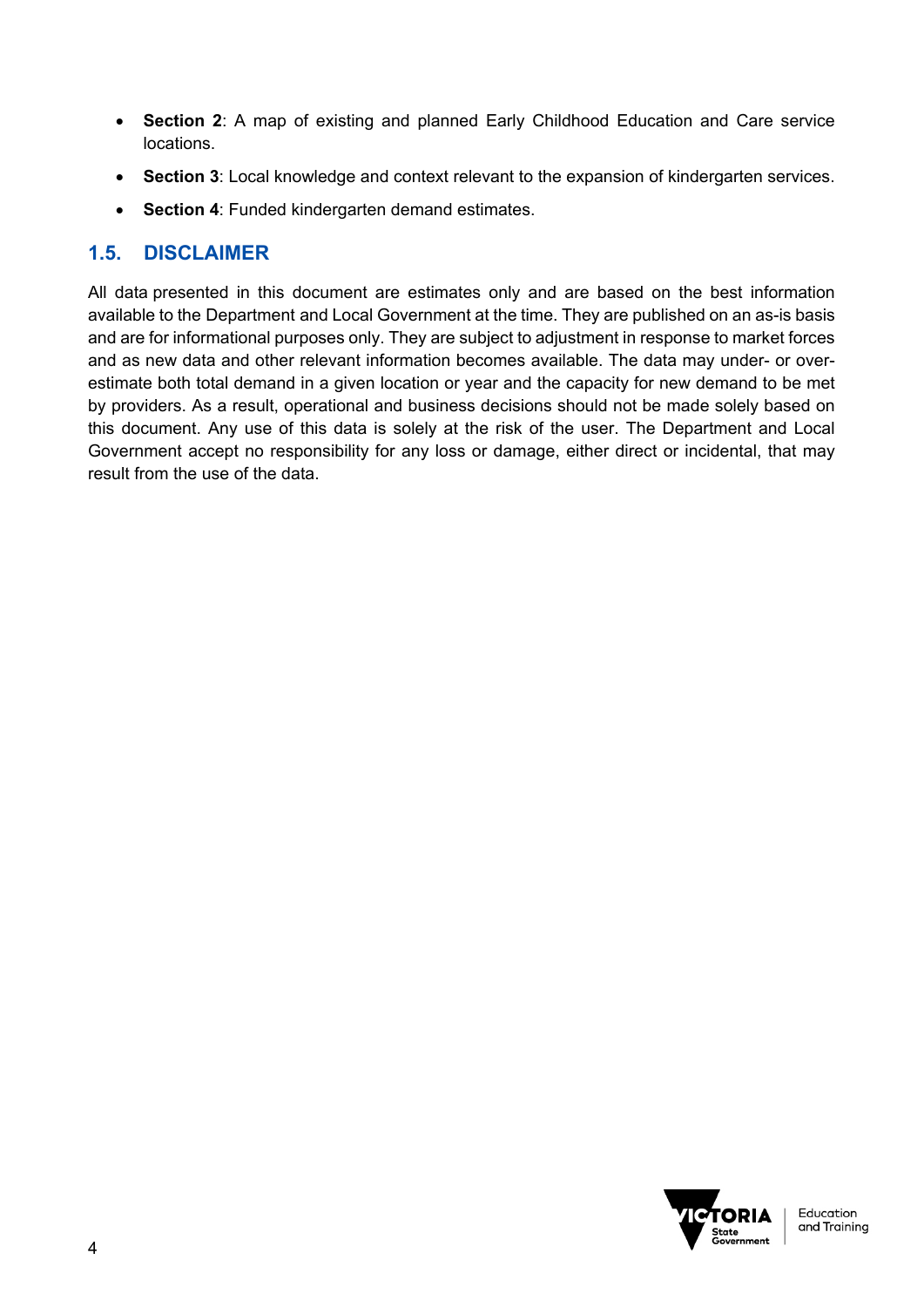- **Section 2**: A map of existing and planned Early Childhood Education and Care service locations.
- **Section 3**: Local knowledge and context relevant to the expansion of kindergarten services.
- **Section 4**: Funded kindergarten demand estimates.

## **1.5. DISCLAIMER**

All data presented in this document are estimates only and are based on the best information available to the Department and Local Government at the time. They are published on an as-is basis and are for informational purposes only. They are subject to adjustment in response to market forces and as new data and other relevant information becomes available. The data may under- or overestimate both total demand in a given location or year and the capacity for new demand to be met by providers. As a result, operational and business decisions should not be made solely based on this document. Any use of this data is solely at the risk of the user. The Department and Local Government accept no responsibility for any loss or damage, either direct or incidental, that may result from the use of the data.

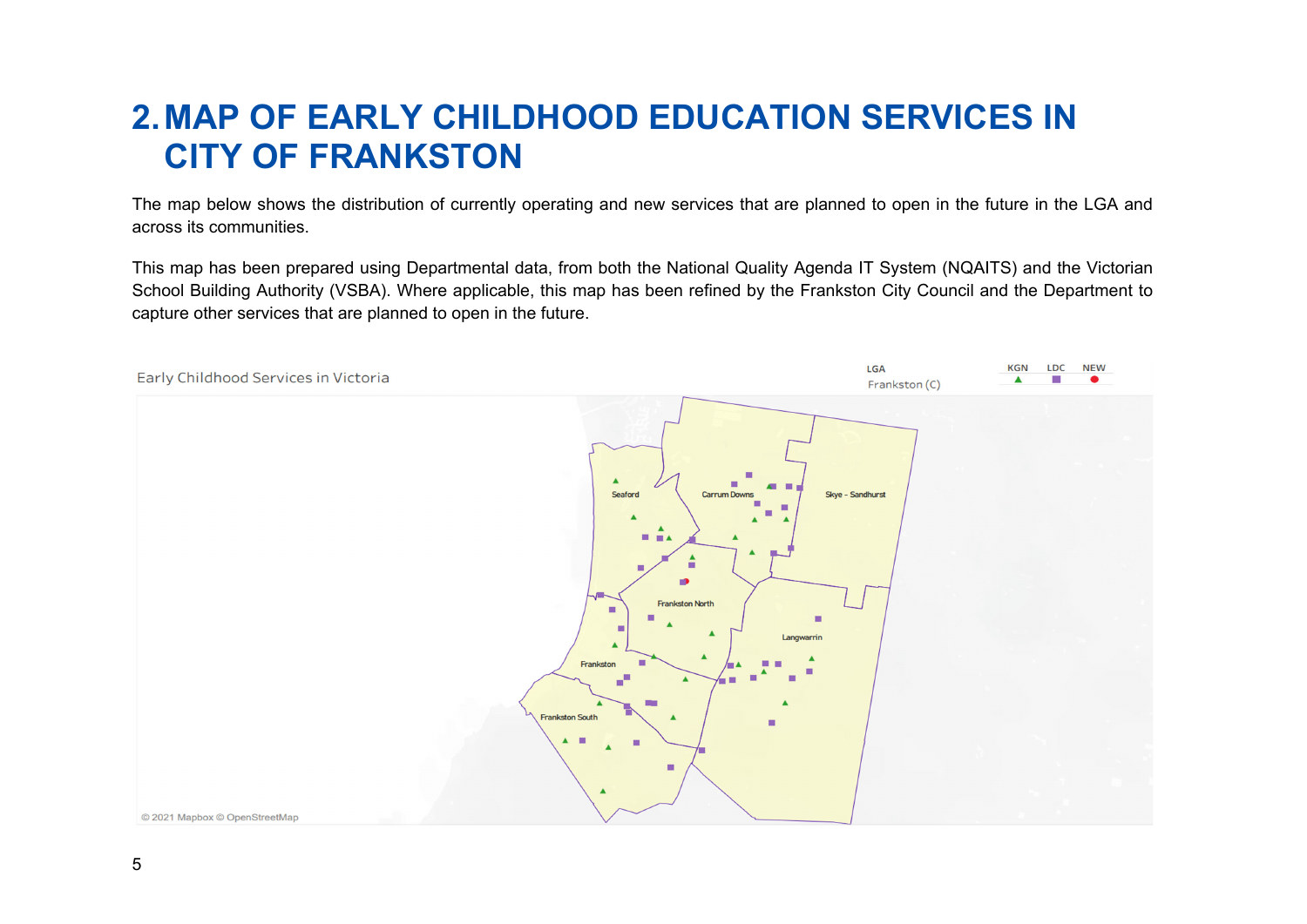## **2. MAP OF EARLY CHILDHOOD EDUCATION SERVICES IN CITY OF FRANKSTON**

The map below shows the distribution of currently operating and new services that are planned to open in the future in the LGA and across its communities.

This map has been prepared using Departmental data, from both the National Quality Agenda IT System (NQAITS) and the Victorian School Building Authority (VSBA). Where applicable, this map has been refined by the Frankston City Council and the Department to capture other services that are planned to open in the future.

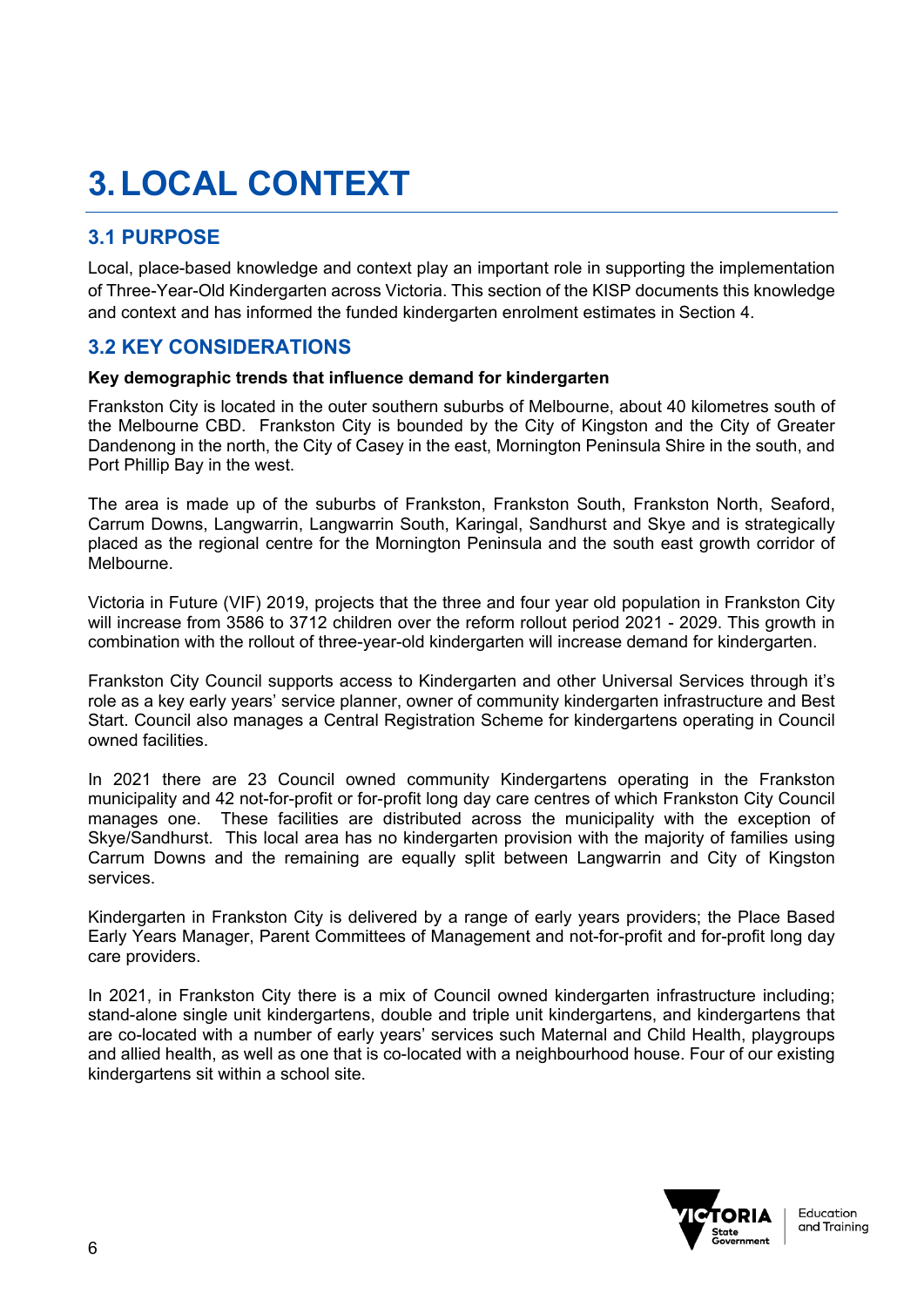# **3. LOCAL CONTEXT**

## **3.1 PURPOSE**

Local, place-based knowledge and context play an important role in supporting the implementation of Three-Year-Old Kindergarten across Victoria. This section of the KISP documents this knowledge and context and has informed the funded kindergarten enrolment estimates in Section 4.

### **3.2 KEY CONSIDERATIONS**

#### **Key demographic trends that influence demand for kindergarten**

Frankston City is located in the outer southern suburbs of Melbourne, about 40 kilometres south of the Melbourne CBD. Frankston City is bounded by the City of Kingston and the City of Greater Dandenong in the north, the City of Casey in the east, Mornington Peninsula Shire in the south, and Port Phillip Bay in the west.

The area is made up of the suburbs of Frankston, Frankston South, Frankston North, Seaford, Carrum Downs, Langwarrin, Langwarrin South, Karingal, Sandhurst and Skye and is strategically placed as the regional centre for the Mornington Peninsula and the south east growth corridor of Melbourne.

Victoria in Future (VIF) 2019, projects that the three and four year old population in Frankston City will increase from 3586 to 3712 children over the reform rollout period 2021 - 2029. This growth in combination with the rollout of three-year-old kindergarten will increase demand for kindergarten.

Frankston City Council supports access to Kindergarten and other Universal Services through it's role as a key early years' service planner, owner of community kindergarten infrastructure and Best Start. Council also manages a Central Registration Scheme for kindergartens operating in Council owned facilities.

In 2021 there are 23 Council owned community Kindergartens operating in the Frankston municipality and 42 not-for-profit or for-profit long day care centres of which Frankston City Council manages one. These facilities are distributed across the municipality with the exception of Skye/Sandhurst. This local area has no kindergarten provision with the majority of families using Carrum Downs and the remaining are equally split between Langwarrin and City of Kingston services.

Kindergarten in Frankston City is delivered by a range of early years providers; the Place Based Early Years Manager, Parent Committees of Management and not-for-profit and for-profit long day care providers.

In 2021, in Frankston City there is a mix of Council owned kindergarten infrastructure including; stand-alone single unit kindergartens, double and triple unit kindergartens, and kindergartens that are co-located with a number of early years' services such Maternal and Child Health, playgroups and allied health, as well as one that is co-located with a neighbourhood house. Four of our existing kindergartens sit within a school site.

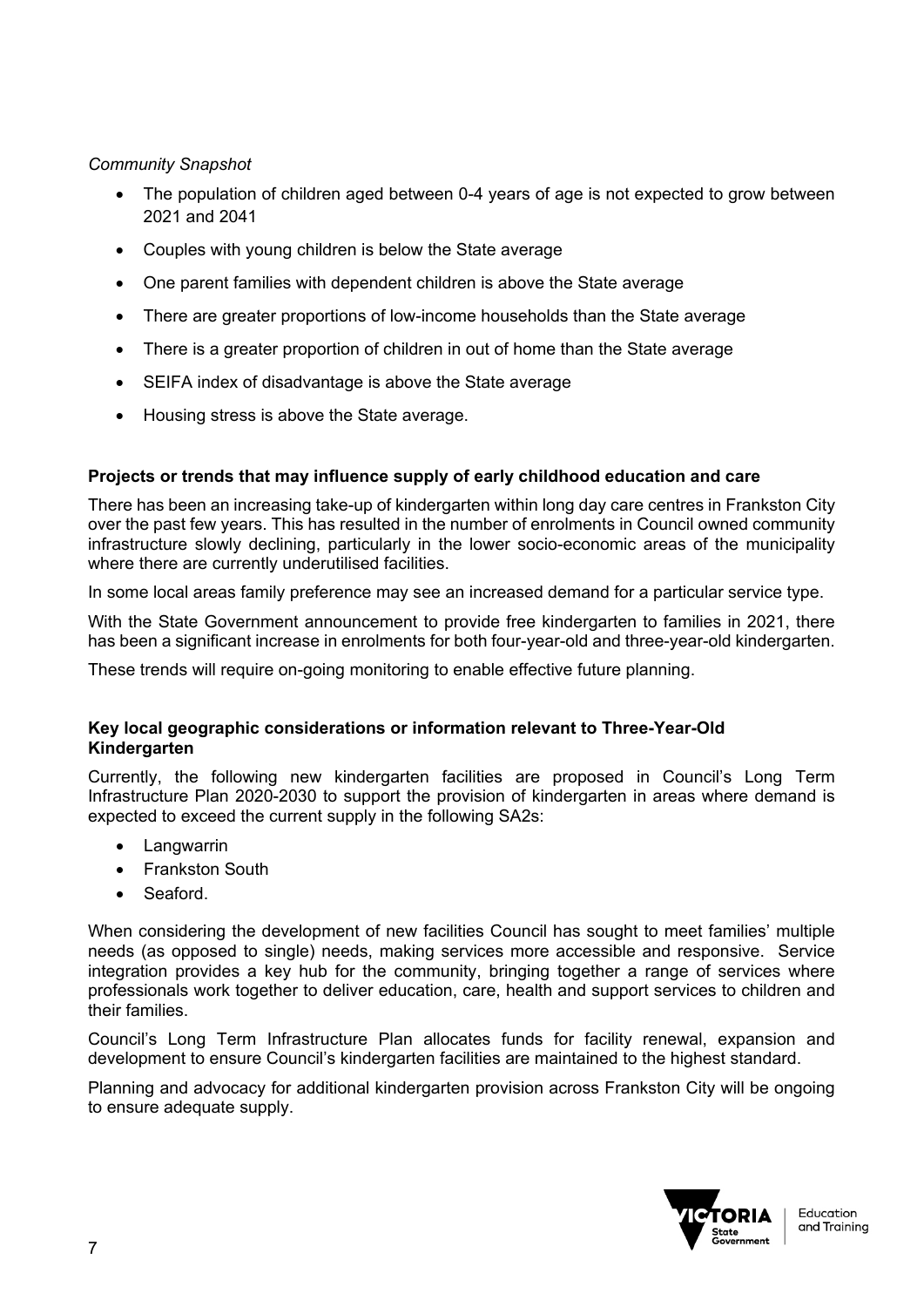#### *Community Snapshot*

- The population of children aged between 0-4 years of age is not expected to grow between 2021 and 2041
- Couples with young children is below the State average
- One parent families with dependent children is above the State average
- There are greater proportions of low-income households than the State average
- There is a greater proportion of children in out of home than the State average
- SEIFA index of disadvantage is above the State average
- Housing stress is above the State average.

#### **Projects or trends that may influence supply of early childhood education and care**

There has been an increasing take-up of kindergarten within long day care centres in Frankston City over the past few years. This has resulted in the number of enrolments in Council owned community infrastructure slowly declining, particularly in the lower socio-economic areas of the municipality where there are currently underutilised facilities.

In some local areas family preference may see an increased demand for a particular service type.

With the State Government announcement to provide free kindergarten to families in 2021, there has been a significant increase in enrolments for both four-year-old and three-year-old kindergarten.

These trends will require on-going monitoring to enable effective future planning.

#### **Key local geographic considerations or information relevant to Three-Year-Old Kindergarten**

Currently, the following new kindergarten facilities are proposed in Council's Long Term Infrastructure Plan 2020-2030 to support the provision of kindergarten in areas where demand is expected to exceed the current supply in the following SA2s:

- Langwarrin
- Frankston South
- Seaford.

When considering the development of new facilities Council has sought to meet families' multiple needs (as opposed to single) needs, making services more accessible and responsive. Service integration provides a key hub for the community, bringing together a range of services where professionals work together to deliver education, care, health and support services to children and their families.

Council's Long Term Infrastructure Plan allocates funds for facility renewal, expansion and development to ensure Council's kindergarten facilities are maintained to the highest standard.

Planning and advocacy for additional kindergarten provision across Frankston City will be ongoing to ensure adequate supply.

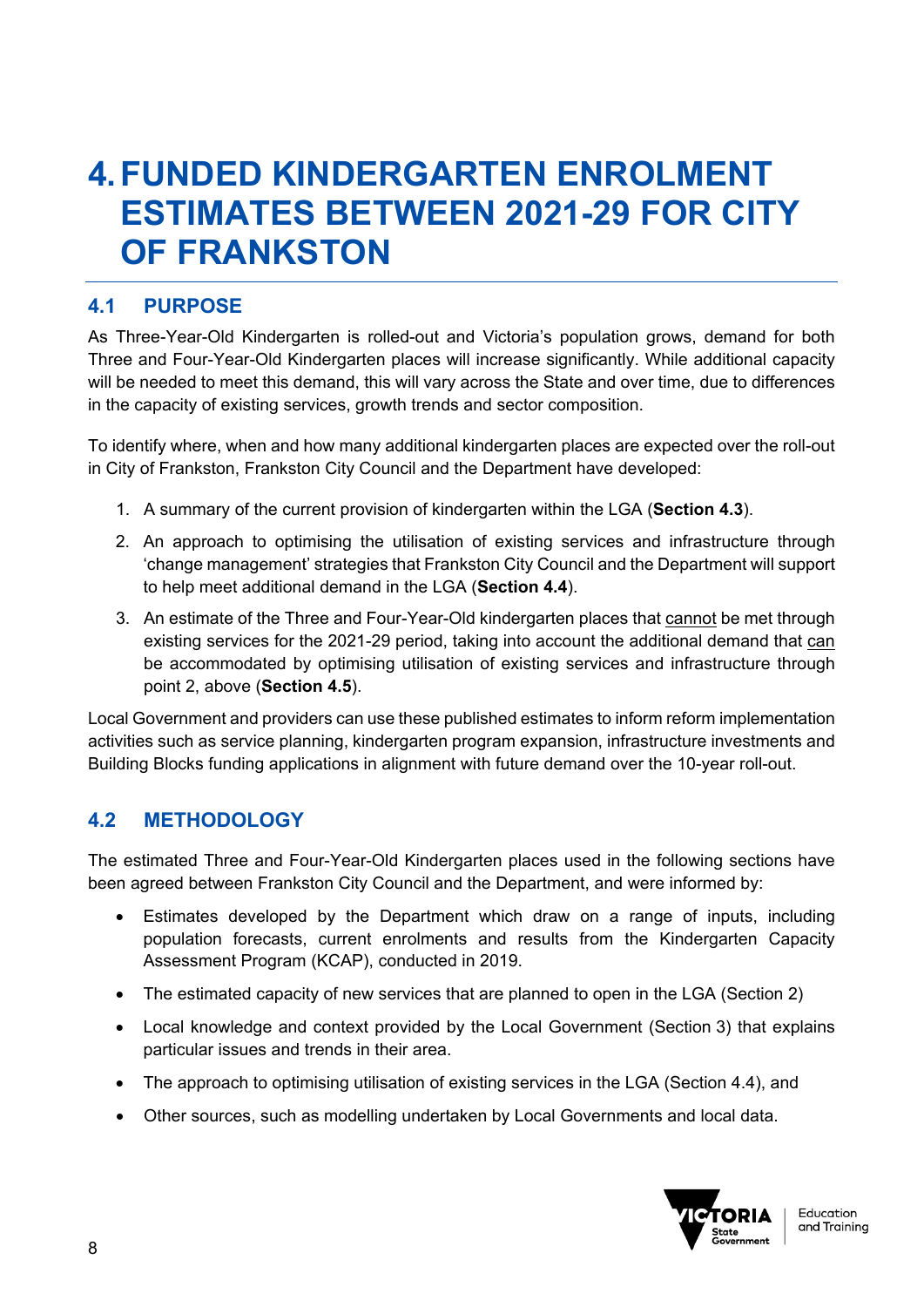## **4. FUNDED KINDERGARTEN ENROLMENT ESTIMATES BETWEEN 2021-29 FOR CITY OF FRANKSTON**

## **4.1 PURPOSE**

As Three-Year-Old Kindergarten is rolled-out and Victoria's population grows, demand for both Three and Four-Year-Old Kindergarten places will increase significantly. While additional capacity will be needed to meet this demand, this will vary across the State and over time, due to differences in the capacity of existing services, growth trends and sector composition.

To identify where, when and how many additional kindergarten places are expected over the roll-out in City of Frankston, Frankston City Council and the Department have developed:

- 1. A summary of the current provision of kindergarten within the LGA (**Section 4.3**).
- 2. An approach to optimising the utilisation of existing services and infrastructure through 'change management' strategies that Frankston City Council and the Department will support to help meet additional demand in the LGA (**Section 4.4**).
- 3. An estimate of the Three and Four-Year-Old kindergarten places that cannot be met through existing services for the 2021-29 period, taking into account the additional demand that can be accommodated by optimising utilisation of existing services and infrastructure through point 2, above (**Section 4.5**).

Local Government and providers can use these published estimates to inform reform implementation activities such as service planning, kindergarten program expansion, infrastructure investments and Building Blocks funding applications in alignment with future demand over the 10-year roll-out.

## **4.2 METHODOLOGY**

The estimated Three and Four-Year-Old Kindergarten places used in the following sections have been agreed between Frankston City Council and the Department, and were informed by:

- Estimates developed by the Department which draw on a range of inputs, including population forecasts, current enrolments and results from the Kindergarten Capacity Assessment Program (KCAP), conducted in 2019.
- The estimated capacity of new services that are planned to open in the LGA (Section 2)
- Local knowledge and context provided by the Local Government (Section 3) that explains particular issues and trends in their area.
- The approach to optimising utilisation of existing services in the LGA (Section 4.4), and
- Other sources, such as modelling undertaken by Local Governments and local data.

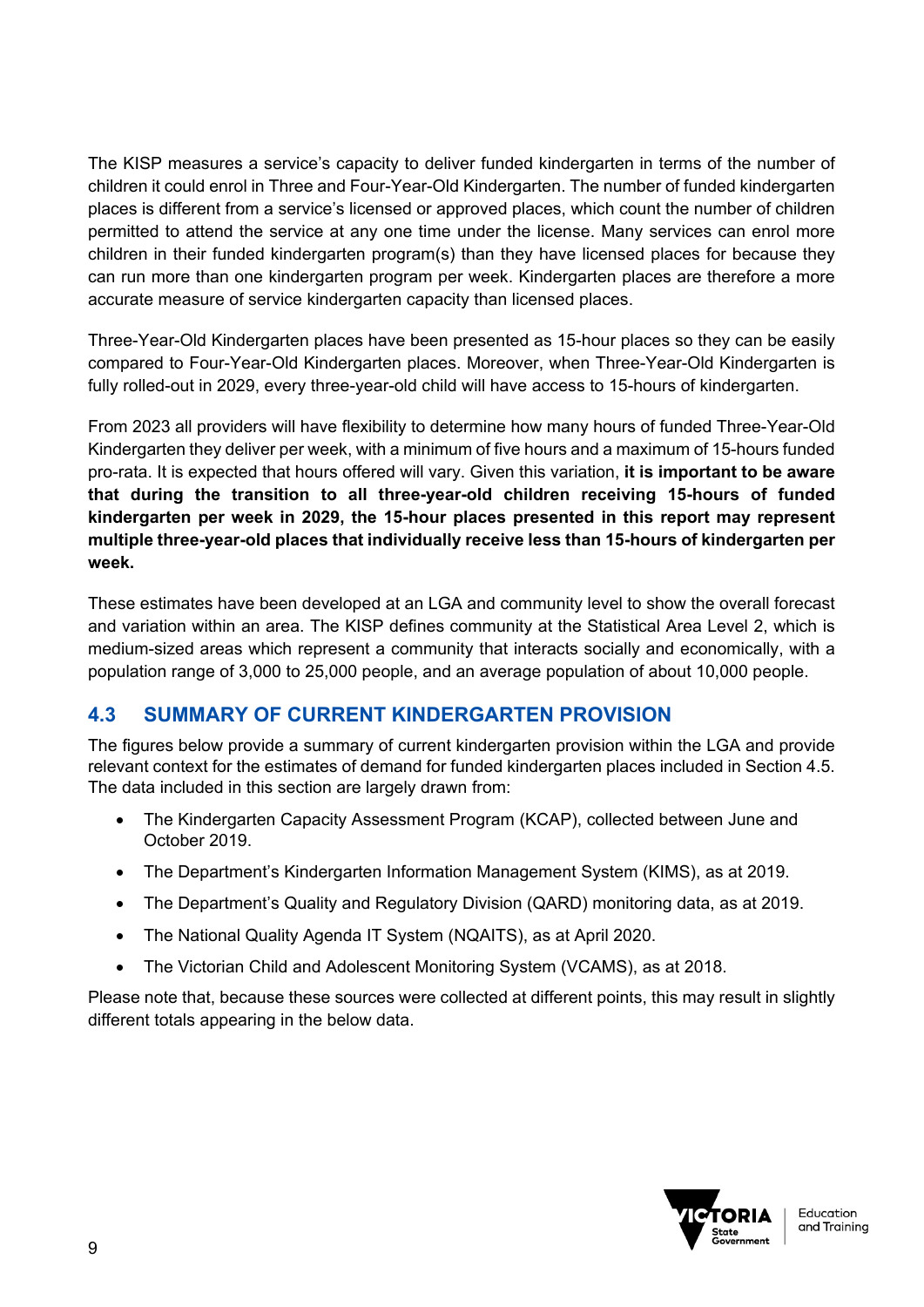The KISP measures a service's capacity to deliver funded kindergarten in terms of the number of children it could enrol in Three and Four-Year-Old Kindergarten. The number of funded kindergarten places is different from a service's licensed or approved places, which count the number of children permitted to attend the service at any one time under the license. Many services can enrol more children in their funded kindergarten program(s) than they have licensed places for because they can run more than one kindergarten program per week. Kindergarten places are therefore a more accurate measure of service kindergarten capacity than licensed places.

Three-Year-Old Kindergarten places have been presented as 15-hour places so they can be easily compared to Four-Year-Old Kindergarten places. Moreover, when Three-Year-Old Kindergarten is fully rolled-out in 2029, every three-year-old child will have access to 15-hours of kindergarten.

From 2023 all providers will have flexibility to determine how many hours of funded Three-Year-Old Kindergarten they deliver per week, with a minimum of five hours and a maximum of 15-hours funded pro-rata. It is expected that hours offered will vary. Given this variation, **it is important to be aware that during the transition to all three-year-old children receiving 15-hours of funded kindergarten per week in 2029, the 15-hour places presented in this report may represent multiple three-year-old places that individually receive less than 15-hours of kindergarten per week.**

These estimates have been developed at an LGA and community level to show the overall forecast and variation within an area. The KISP defines community at the Statistical Area Level 2, which is medium-sized areas which represent a community that interacts socially and economically, with a population range of 3,000 to 25,000 people, and an average population of about 10,000 people.

## **4.3 SUMMARY OF CURRENT KINDERGARTEN PROVISION**

The figures below provide a summary of current kindergarten provision within the LGA and provide relevant context for the estimates of demand for funded kindergarten places included in Section 4.5. The data included in this section are largely drawn from:

- The Kindergarten Capacity Assessment Program (KCAP), collected between June and October 2019.
- The Department's Kindergarten Information Management System (KIMS), as at 2019.
- The Department's Quality and Regulatory Division (QARD) monitoring data, as at 2019.
- The National Quality Agenda IT System (NQAITS), as at April 2020.
- The Victorian Child and Adolescent Monitoring System (VCAMS), as at 2018.

Please note that, because these sources were collected at different points, this may result in slightly different totals appearing in the below data.

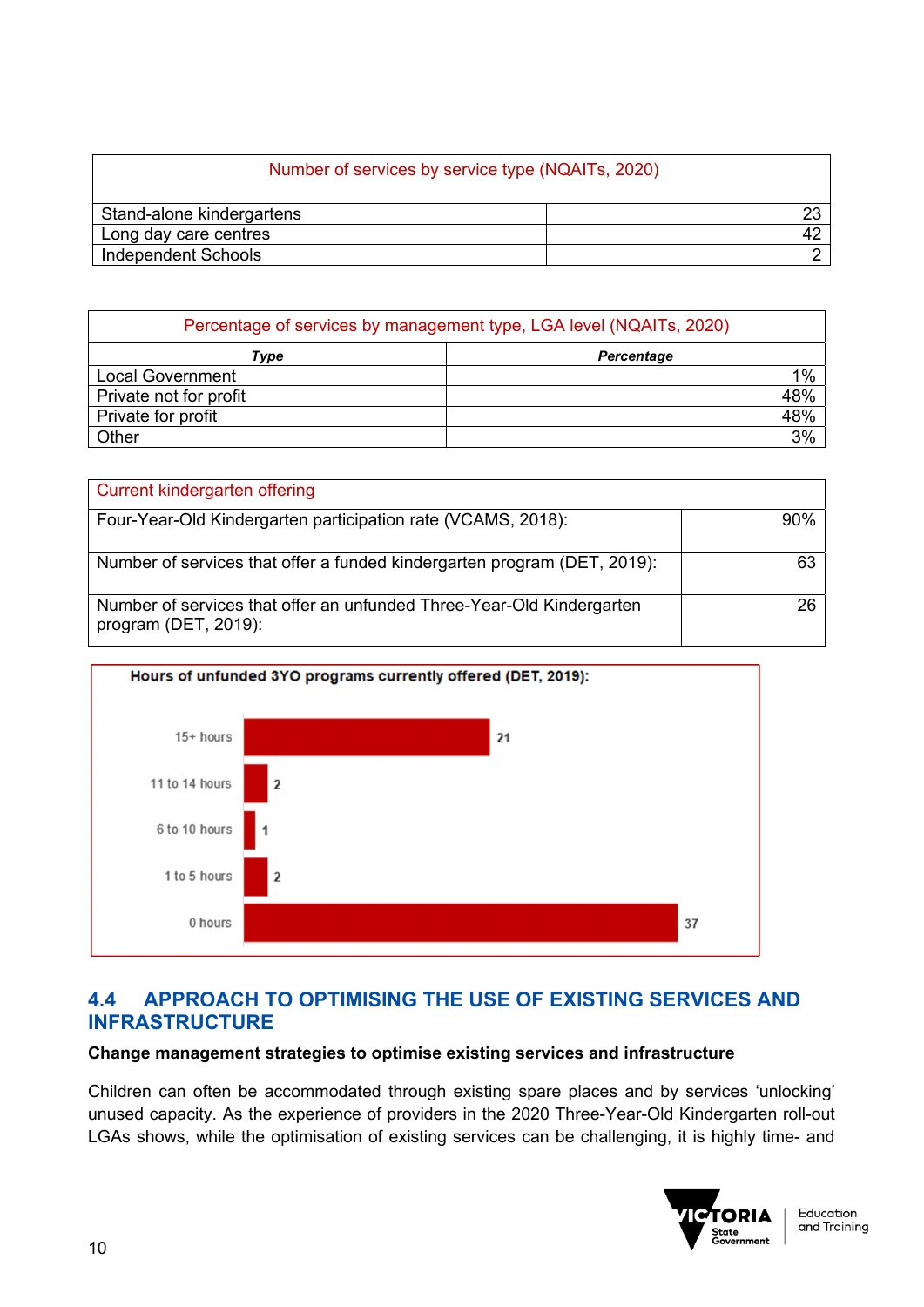### Number of services by service type (NQAITs, 2020)

| Stand-alone kindergartens |  |
|---------------------------|--|
| I Long day care centres   |  |
| Independent Schools       |  |

| Percentage of services by management type, LGA level (NQAITs, 2020) |                   |  |  |  |  |  |  |  |
|---------------------------------------------------------------------|-------------------|--|--|--|--|--|--|--|
| Type                                                                | <b>Percentage</b> |  |  |  |  |  |  |  |
| <b>Local Government</b>                                             | 1%                |  |  |  |  |  |  |  |
| Private not for profit                                              | 48%               |  |  |  |  |  |  |  |
| Private for profit                                                  | 48%               |  |  |  |  |  |  |  |
| Other                                                               | 3%                |  |  |  |  |  |  |  |

| Current kindergarten offering                                                                 |     |
|-----------------------------------------------------------------------------------------------|-----|
| Four-Year-Old Kindergarten participation rate (VCAMS, 2018):                                  | 90% |
| Number of services that offer a funded kindergarten program (DET, 2019):                      | 63  |
| Number of services that offer an unfunded Three-Year-Old Kindergarten<br>program (DET, 2019): | 26  |



## **4.4 APPROACH TO OPTIMISING THE USE OF EXISTING SERVICES AND INFRASTRUCTURE**

#### **Change management strategies to optimise existing services and infrastructure**

Children can often be accommodated through existing spare places and by services 'unlocking' unused capacity. As the experience of providers in the 2020 Three-Year-Old Kindergarten roll-out LGAs shows, while the optimisation of existing services can be challenging, it is highly time- and

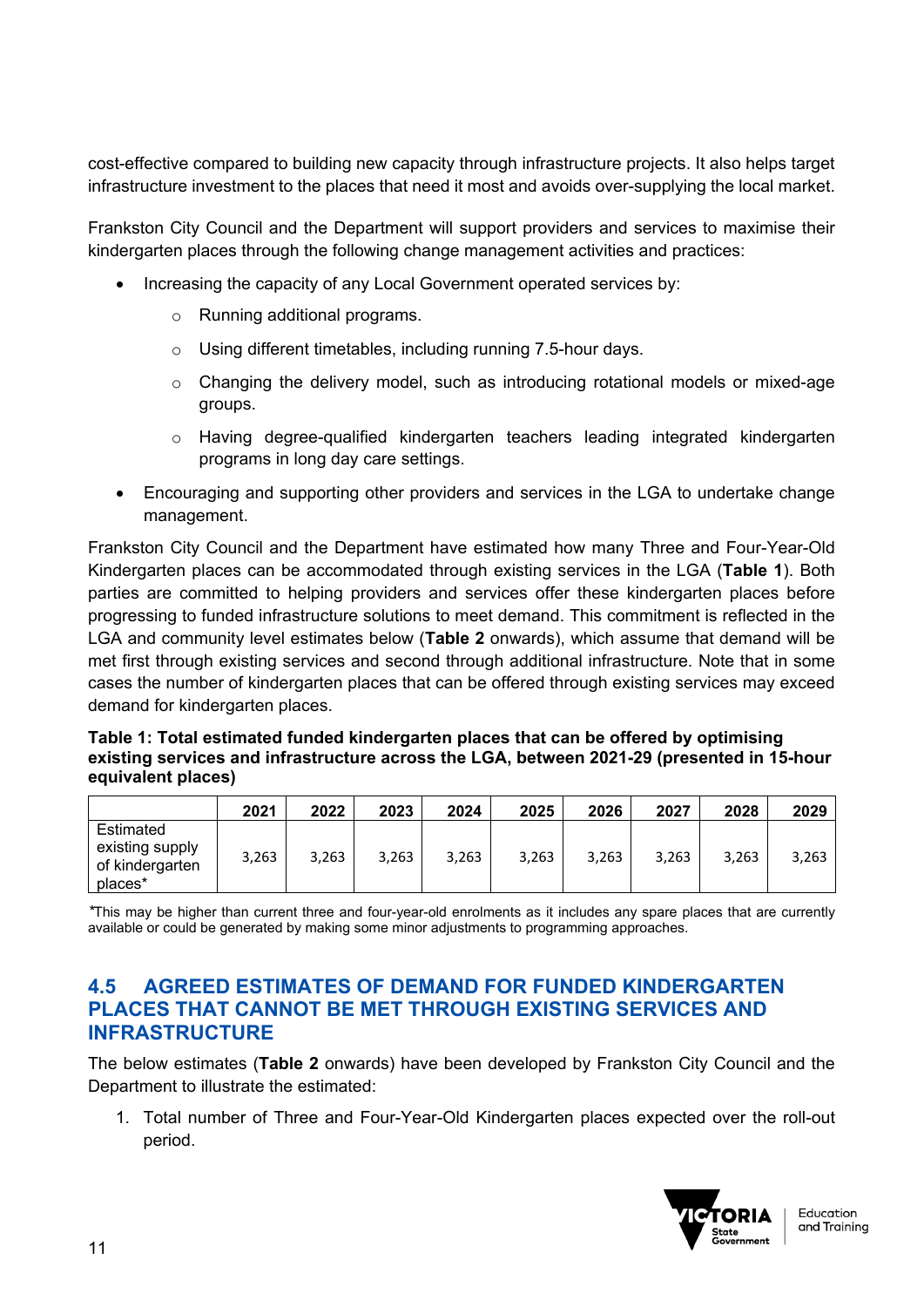cost-effective compared to building new capacity through infrastructure projects. It also helps target infrastructure investment to the places that need it most and avoids over-supplying the local market.

Frankston City Council and the Department will support providers and services to maximise their kindergarten places through the following change management activities and practices:

- Increasing the capacity of any Local Government operated services by:
	- o Running additional programs.
	- o Using different timetables, including running 7.5-hour days.
	- o Changing the delivery model, such as introducing rotational models or mixed-age groups.
	- o Having degree-qualified kindergarten teachers leading integrated kindergarten programs in long day care settings.
- Encouraging and supporting other providers and services in the LGA to undertake change management.

Frankston City Council and the Department have estimated how many Three and Four-Year-Old Kindergarten places can be accommodated through existing services in the LGA (**Table 1**). Both parties are committed to helping providers and services offer these kindergarten places before progressing to funded infrastructure solutions to meet demand. This commitment is reflected in the LGA and community level estimates below (**Table 2** onwards), which assume that demand will be met first through existing services and second through additional infrastructure. Note that in some cases the number of kindergarten places that can be offered through existing services may exceed demand for kindergarten places.

#### **Table 1: Total estimated funded kindergarten places that can be offered by optimising existing services and infrastructure across the LGA, between 2021-29 (presented in 15-hour equivalent places)**

|                                                            | 2021  | 2022  | 2023  | 2024  | 2025  | 2026  | 2027  | 2028  | 2029  |
|------------------------------------------------------------|-------|-------|-------|-------|-------|-------|-------|-------|-------|
| Estimated<br>existing supply<br>of kindergarten<br>places* | 3,263 | 3,263 | 3,263 | 3,263 | 3,263 | 3,263 | 3,263 | 3,263 | 3,263 |

*\**This may be higher than current three and four-year-old enrolments as it includes any spare places that are currently available or could be generated by making some minor adjustments to programming approaches.

#### **4.5 AGREED ESTIMATES OF DEMAND FOR FUNDED KINDERGARTEN PLACES THAT CANNOT BE MET THROUGH EXISTING SERVICES AND INFRASTRUCTURE**

The below estimates (**Table 2** onwards) have been developed by Frankston City Council and the Department to illustrate the estimated:

1. Total number of Three and Four-Year-Old Kindergarten places expected over the roll-out period.

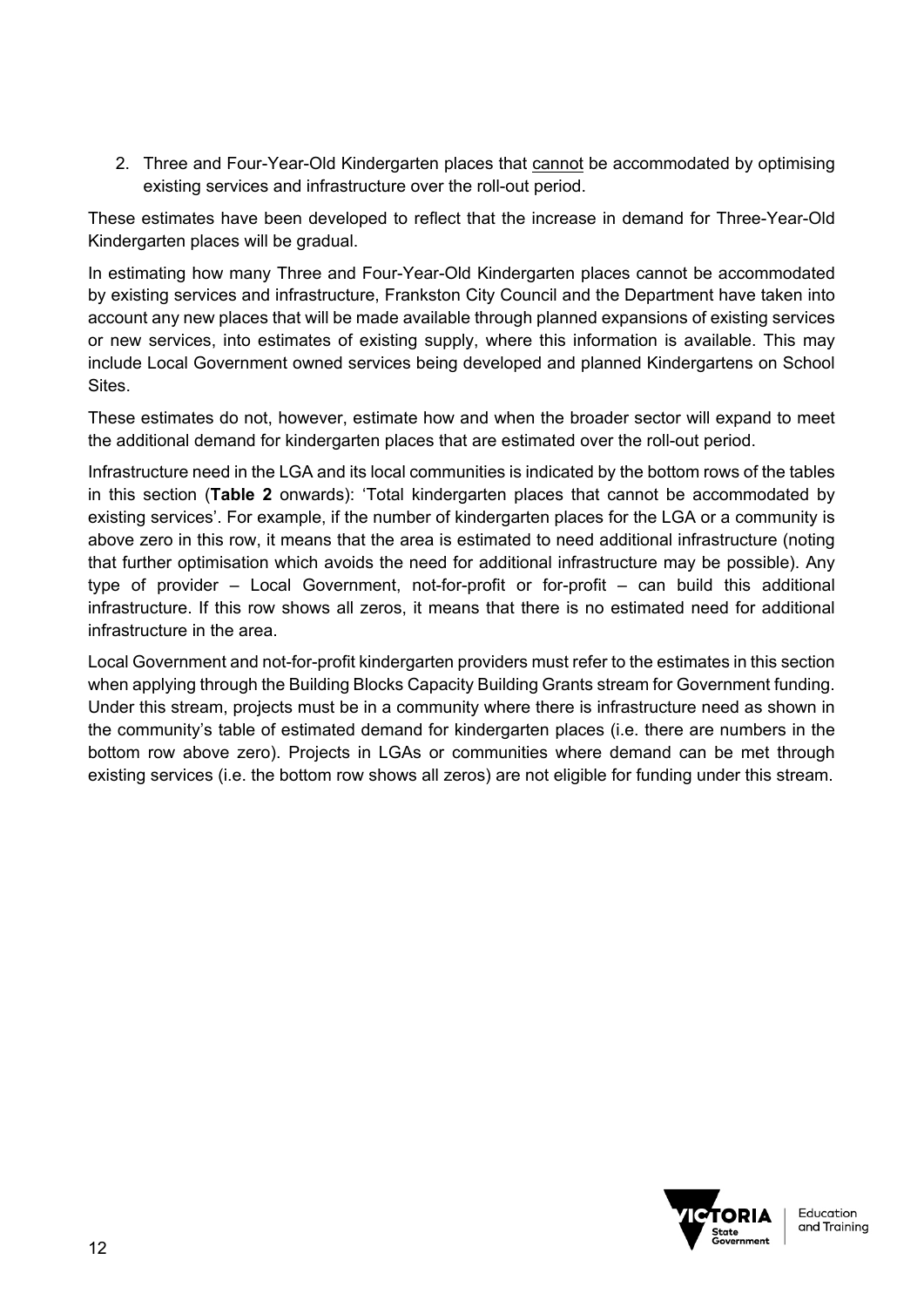2. Three and Four-Year-Old Kindergarten places that cannot be accommodated by optimising existing services and infrastructure over the roll-out period.

These estimates have been developed to reflect that the increase in demand for Three-Year-Old Kindergarten places will be gradual.

In estimating how many Three and Four-Year-Old Kindergarten places cannot be accommodated by existing services and infrastructure, Frankston City Council and the Department have taken into account any new places that will be made available through planned expansions of existing services or new services, into estimates of existing supply, where this information is available. This may include Local Government owned services being developed and planned Kindergartens on School Sites.

These estimates do not, however, estimate how and when the broader sector will expand to meet the additional demand for kindergarten places that are estimated over the roll-out period.

Infrastructure need in the LGA and its local communities is indicated by the bottom rows of the tables in this section (**Table 2** onwards): 'Total kindergarten places that cannot be accommodated by existing services'. For example, if the number of kindergarten places for the LGA or a community is above zero in this row, it means that the area is estimated to need additional infrastructure (noting that further optimisation which avoids the need for additional infrastructure may be possible). Any type of provider – Local Government, not-for-profit or for-profit – can build this additional infrastructure. If this row shows all zeros, it means that there is no estimated need for additional infrastructure in the area.

Local Government and not-for-profit kindergarten providers must refer to the estimates in this section when applying through the Building Blocks Capacity Building Grants stream for Government funding. Under this stream, projects must be in a community where there is infrastructure need as shown in the community's table of estimated demand for kindergarten places (i.e. there are numbers in the bottom row above zero). Projects in LGAs or communities where demand can be met through existing services (i.e. the bottom row shows all zeros) are not eligible for funding under this stream.

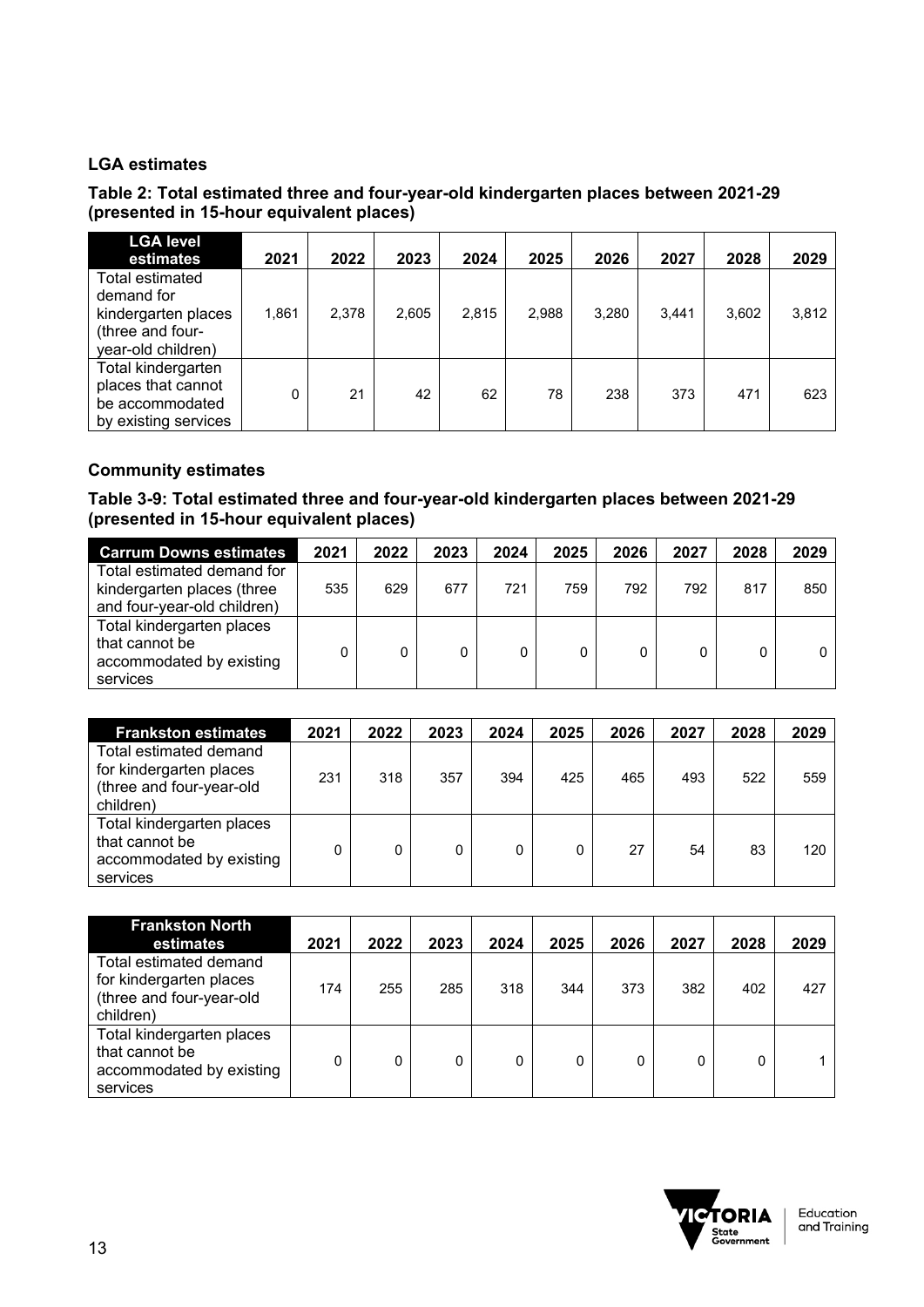### **LGA estimates**

#### **Table 2: Total estimated three and four-year-old kindergarten places between 2021-29 (presented in 15-hour equivalent places)**

| <b>LGA level</b><br>estimates                                                                  | 2021  | 2022  | 2023  | 2024  | 2025  | 2026  | 2027  | 2028  | 2029  |
|------------------------------------------------------------------------------------------------|-------|-------|-------|-------|-------|-------|-------|-------|-------|
| Total estimated<br>demand for<br>kindergarten places<br>(three and four-<br>year-old children) | 1.861 | 2.378 | 2,605 | 2,815 | 2,988 | 3,280 | 3.441 | 3,602 | 3,812 |
| Total kindergarten<br>places that cannot<br>be accommodated<br>by existing services            |       | 21    | 42    | 62    | 78    | 238   | 373   | 471   | 623   |

### **Community estimates**

#### **Table 3-9: Total estimated three and four-year-old kindergarten places between 2021-29 (presented in 15-hour equivalent places)**

| <b>Carrum Downs estimates</b>                                                           | 2021 | 2022 | 2023 | 2024 | 2025 | 2026 | 2027 | 2028 | 2029 |
|-----------------------------------------------------------------------------------------|------|------|------|------|------|------|------|------|------|
| Total estimated demand for<br>kindergarten places (three<br>and four-year-old children) | 535  | 629  | 677  | 721  | 759  | 792  | 792  | 817  | 850  |
| Total kindergarten places<br>that cannot be<br>accommodated by existing<br>services     |      | 0    |      |      |      |      |      |      |      |

| <b>Frankston estimates</b>                                                                 | 2021 | 2022 | 2023 | 2024 | 2025 | 2026 | 2027 | 2028 | 2029 |
|--------------------------------------------------------------------------------------------|------|------|------|------|------|------|------|------|------|
| Total estimated demand<br>for kindergarten places<br>(three and four-year-old<br>children) | 231  | 318  | 357  | 394  | 425  | 465  | 493  | 522  | 559  |
| Total kindergarten places<br>that cannot be<br>accommodated by existing<br>services        |      |      |      |      |      | 27   | 54   | 83   | 120  |

| <b>Frankston North</b><br>estimates                                                        | 2021 | 2022 | 2023 | 2024 | 2025 | 2026 | 2027 | 2028 | 2029 |
|--------------------------------------------------------------------------------------------|------|------|------|------|------|------|------|------|------|
| Total estimated demand<br>for kindergarten places<br>(three and four-year-old<br>children) | 174  | 255  | 285  | 318  | 344  | 373  | 382  | 402  | 427  |
| Total kindergarten places<br>that cannot be<br>accommodated by existing<br>services        | 0    | 0    |      | 0    |      |      | 0    |      |      |

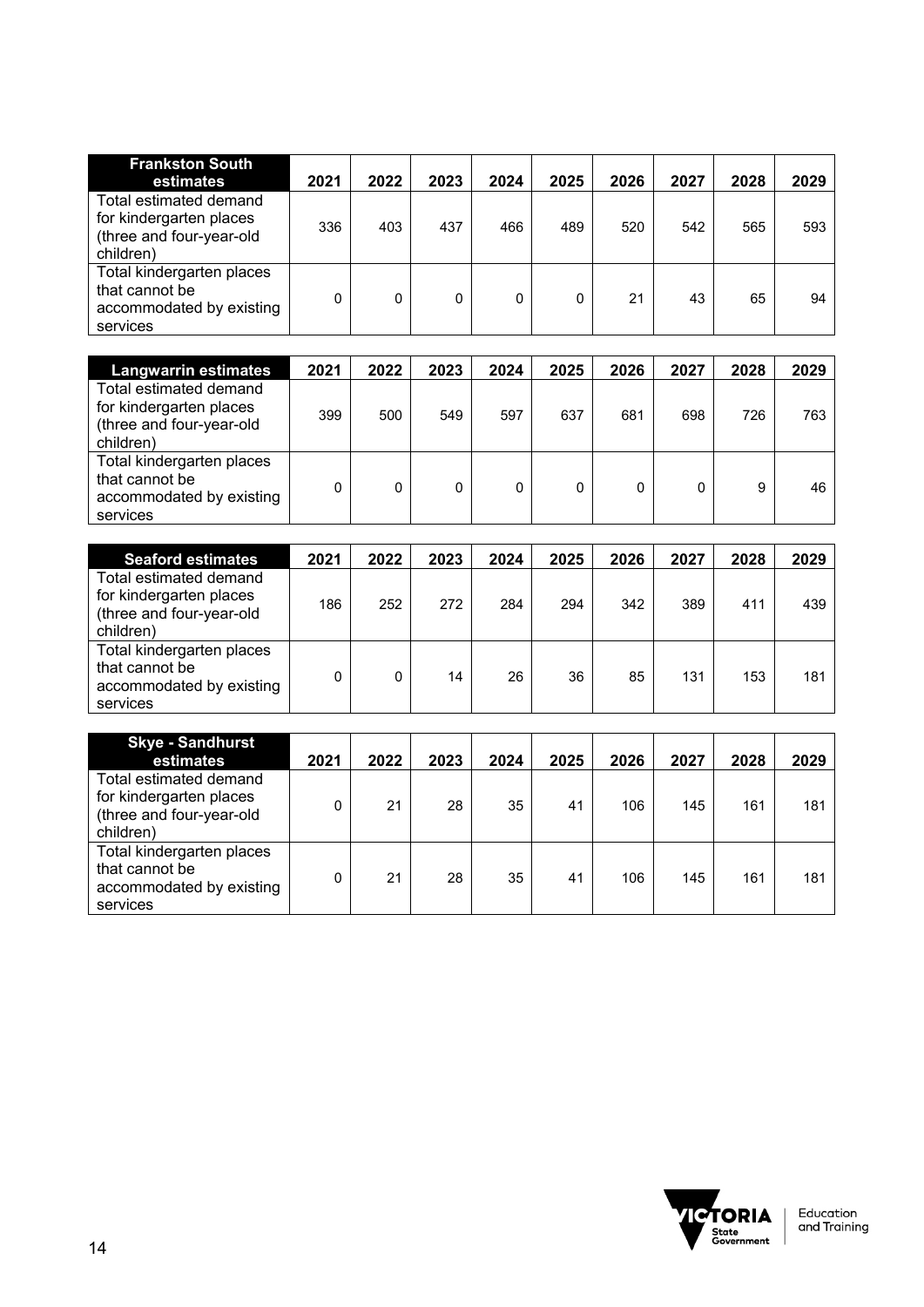| <b>Frankston South</b><br>estimates                                                        | 2021 | 2022 | 2023 | 2024 | 2025 | 2026 | 2027 | 2028 | 2029 |
|--------------------------------------------------------------------------------------------|------|------|------|------|------|------|------|------|------|
| Total estimated demand<br>for kindergarten places<br>(three and four-year-old<br>children) | 336  | 403  | 437  | 466  | 489  | 520  | 542  | 565  | 593  |
| Total kindergarten places<br>that cannot be<br>accommodated by existing<br>services        | 0    |      | 0    |      |      | 21   | 43   | 65   | 94   |

| <b>Langwarrin estimates</b>                                                                | 2021 | 2022 | 2023 | 2024 | 2025 | 2026 | 2027 | 2028 | 2029 |
|--------------------------------------------------------------------------------------------|------|------|------|------|------|------|------|------|------|
| Total estimated demand<br>for kindergarten places<br>(three and four-year-old<br>children) | 399  | 500  | 549  | 597  | 637  | 681  | 698  | 726  | 763  |
| Total kindergarten places<br>that cannot be<br>accommodated by existing<br>services        |      |      |      |      |      |      |      | 9    | 46   |

| <b>Seaford estimates</b>                                                                   | 2021 | 2022 | 2023 | 2024 | 2025 | 2026 | 2027 | 2028 | 2029 |
|--------------------------------------------------------------------------------------------|------|------|------|------|------|------|------|------|------|
| Total estimated demand<br>for kindergarten places<br>(three and four-year-old<br>children) | 186  | 252  | 272  | 284  | 294  | 342  | 389  | 411  | 439  |
| Total kindergarten places<br>that cannot be<br>accommodated by existing<br>services        |      |      | 14   | 26   | 36   | 85   | 131  | 153  | 181  |

| <b>Skye - Sandhurst</b><br>estimates                                                       | 2021 | 2022 | 2023 | 2024 | 2025 | 2026 | 2027 | 2028 | 2029 |
|--------------------------------------------------------------------------------------------|------|------|------|------|------|------|------|------|------|
| Total estimated demand<br>for kindergarten places<br>(three and four-year-old<br>children) |      | 21   | 28   | 35   | 41   | 106  | 145  | 161  | 181  |
| Total kindergarten places<br>that cannot be<br>accommodated by existing<br>services        |      | 21   | 28   | 35   | 41   | 106  | 145  | 161  | 181  |